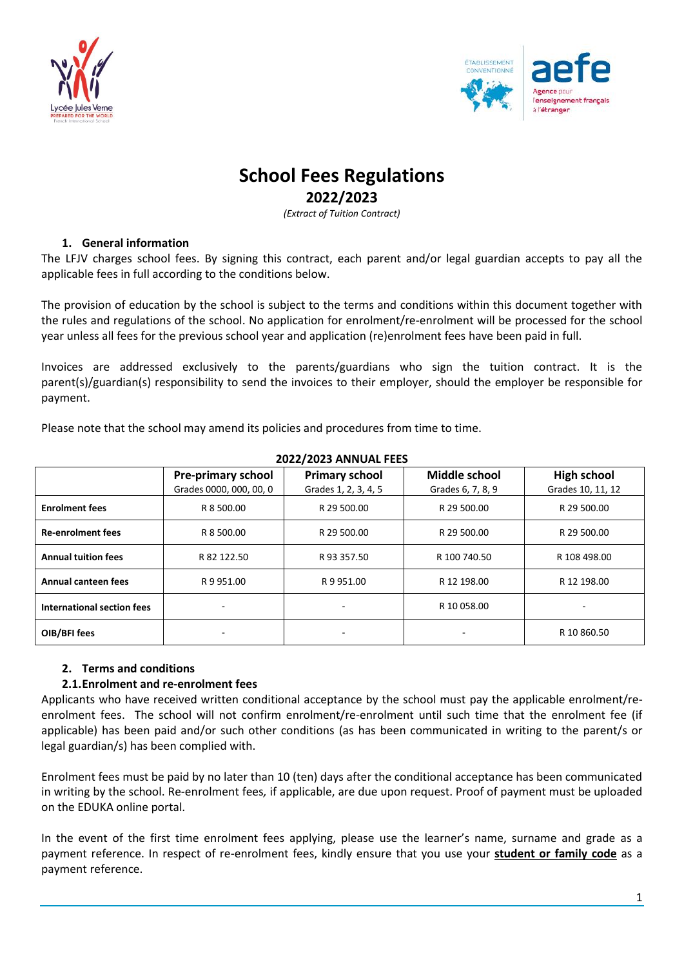



# **School Fees Regulations**

# **2022/2023**

*(Extract of Tuition Contract)*

# **1. General information**

The LFJV charges school fees. By signing this contract, each parent and/or legal guardian accepts to pay all the applicable fees in full according to the conditions below.

The provision of education by the school is subject to the terms and conditions within this document together with the rules and regulations of the school. No application for enrolment/re-enrolment will be processed for the school year unless all fees for the previous school year and application (re)enrolment fees have been paid in full.

Invoices are addressed exclusively to the parents/guardians who sign the tuition contract. It is the parent(s)/guardian(s) responsibility to send the invoices to their employer, should the employer be responsible for payment.

Please note that the school may amend its policies and procedures from time to time.

| <b>ZUZZI ZUZS ANNUAL FEES</b> |                           |                       |                      |                    |  |  |
|-------------------------------|---------------------------|-----------------------|----------------------|--------------------|--|--|
|                               | <b>Pre-primary school</b> | <b>Primary school</b> | <b>Middle school</b> | <b>High school</b> |  |  |
|                               | Grades 0000, 000, 00, 0   | Grades 1, 2, 3, 4, 5  | Grades 6, 7, 8, 9    | Grades 10, 11, 12  |  |  |
| <b>Enrolment fees</b>         | R 8 500.00                | R 29 500.00           | R 29 500.00          | R 29 500.00        |  |  |
| <b>Re-enrolment fees</b>      | R 8 500.00                | R 29 500.00           | R 29 500.00          | R 29 500.00        |  |  |
| <b>Annual tuition fees</b>    | R 82 122.50               | R 93 357.50           | R 100 740.50         | R 108 498.00       |  |  |
| Annual canteen fees           | R 9 951.00                | R 9 951.00            | R 12 198.00          | R 12 198.00        |  |  |
| International section fees    |                           |                       | R 10 058.00          |                    |  |  |
| OIB/BFI fees                  |                           |                       |                      | R 10 860.50        |  |  |

#### **2022/2023 ANNUAL FEES**

# **2. Terms and conditions**

# **2.1.Enrolment and re-enrolment fees**

Applicants who have received written conditional acceptance by the school must pay the applicable enrolment/reenrolment fees. The school will not confirm enrolment/re-enrolment until such time that the enrolment fee (if applicable) has been paid and/or such other conditions (as has been communicated in writing to the parent/s or legal guardian/s) has been complied with.

Enrolment fees must be paid by no later than 10 (ten) days after the conditional acceptance has been communicated in writing by the school. Re-enrolment fees*,* if applicable, are due upon request. Proof of payment must be uploaded on the EDUKA online portal.

In the event of the first time enrolment fees applying, please use the learner's name, surname and grade as a payment reference. In respect of re-enrolment fees, kindly ensure that you use your **student or family code** as a payment reference.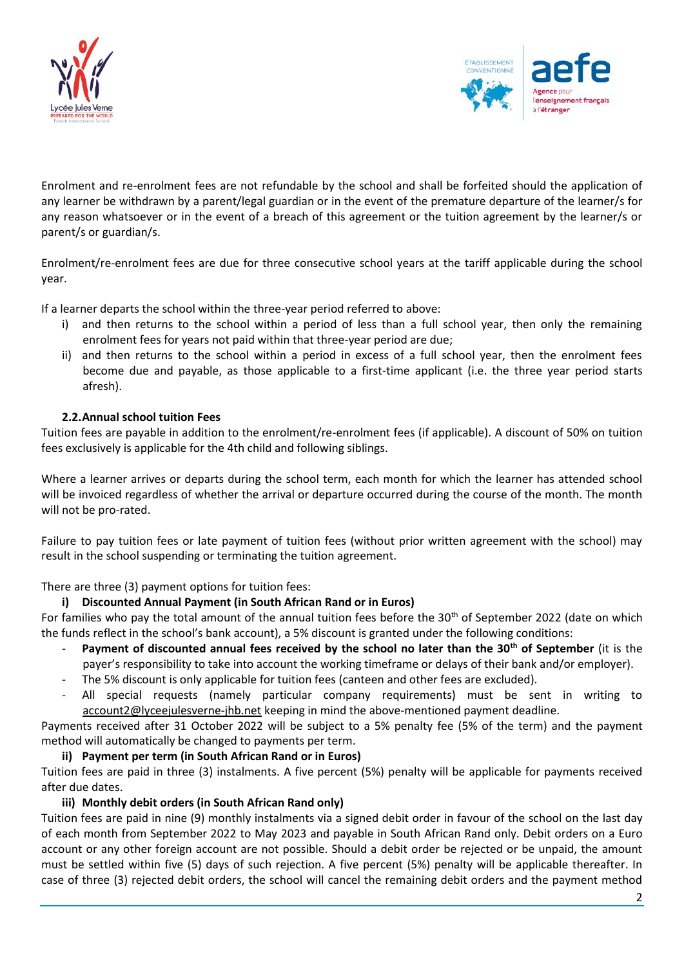



Enrolment and re-enrolment fees are not refundable by the school and shall be forfeited should the application of any learner be withdrawn by a parent/legal guardian or in the event of the premature departure of the learner/s for any reason whatsoever or in the event of a breach of this agreement or the tuition agreement by the learner/s or parent/s or guardian/s.

Enrolment/re-enrolment fees are due for three consecutive school years at the tariff applicable during the school year.

If a learner departs the school within the three-year period referred to above:

- i) and then returns to the school within a period of less than a full school year, then only the remaining enrolment fees for years not paid within that three-year period are due;
- ii) and then returns to the school within a period in excess of a full school year, then the enrolment fees become due and payable, as those applicable to a first-time applicant (i.e. the three year period starts afresh).

#### **2.2.Annual school tuition Fees**

Tuition fees are payable in addition to the enrolment/re-enrolment fees (if applicable). A discount of 50% on tuition fees exclusively is applicable for the 4th child and following siblings.

Where a learner arrives or departs during the school term, each month for which the learner has attended school will be invoiced regardless of whether the arrival or departure occurred during the course of the month. The month will not be pro-rated.

Failure to pay tuition fees or late payment of tuition fees (without prior written agreement with the school) may result in the school suspending or terminating the tuition agreement.

There are three (3) payment options for tuition fees:

# **i) Discounted Annual Payment (in South African Rand or in Euros)**

For families who pay the total amount of the annual tuition fees before the 30<sup>th</sup> of September 2022 (date on which the funds reflect in the school's bank account), a 5% discount is granted under the following conditions:

- **Payment of discounted annual fees received by the school no later than the 30th of September** (it is the payer's responsibility to take into account the working timeframe or delays of their bank and/or employer).
- The 5% discount is only applicable for tuition fees (canteen and other fees are excluded).
- All special requests (namely particular company requirements) must be sent in writing to [account2@lyceejulesverne-jhb.net](mailto:account2@lyceejulesverne-jhb.net) keeping in mind the above-mentioned payment deadline.

Payments received after 31 October 2022 will be subject to a 5% penalty fee (5% of the term) and the payment method will automatically be changed to payments per term.

#### **ii) Payment per term (in South African Rand or in Euros)**

Tuition fees are paid in three (3) instalments. A five percent (5%) penalty will be applicable for payments received after due dates.

# **iii) Monthly debit orders (in South African Rand only)**

Tuition fees are paid in nine (9) monthly instalments via a signed debit order in favour of the school on the last day of each month from September 2022 to May 2023 and payable in South African Rand only. Debit orders on a Euro account or any other foreign account are not possible. Should a debit order be rejected or be unpaid, the amount must be settled within five (5) days of such rejection. A five percent (5%) penalty will be applicable thereafter. In case of three (3) rejected debit orders, the school will cancel the remaining debit orders and the payment method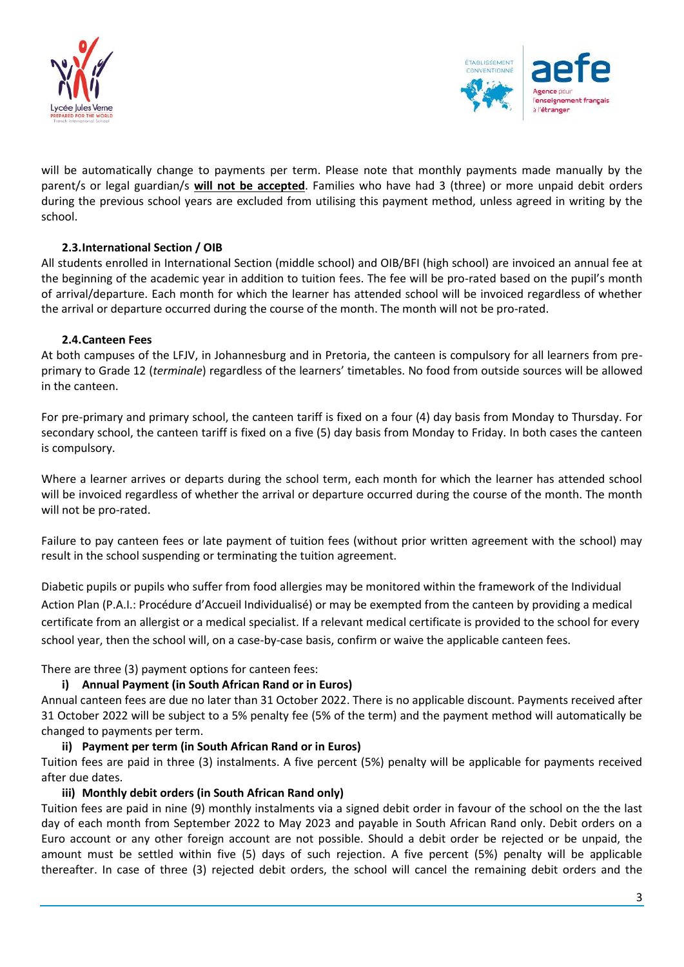



will be automatically change to payments per term. Please note that monthly payments made manually by the parent/s or legal guardian/s **will not be accepted**. Families who have had 3 (three) or more unpaid debit orders during the previous school years are excluded from utilising this payment method, unless agreed in writing by the school.

# **2.3.International Section / OIB**

All students enrolled in International Section (middle school) and OIB/BFI (high school) are invoiced an annual fee at the beginning of the academic year in addition to tuition fees. The fee will be pro-rated based on the pupil's month of arrival/departure. Each month for which the learner has attended school will be invoiced regardless of whether the arrival or departure occurred during the course of the month. The month will not be pro-rated.

# **2.4.Canteen Fees**

At both campuses of the LFJV, in Johannesburg and in Pretoria, the canteen is compulsory for all learners from preprimary to Grade 12 (*terminale*) regardless of the learners' timetables. No food from outside sources will be allowed in the canteen.

For pre-primary and primary school, the canteen tariff is fixed on a four (4) day basis from Monday to Thursday. For secondary school, the canteen tariff is fixed on a five (5) day basis from Monday to Friday. In both cases the canteen is compulsory.

Where a learner arrives or departs during the school term, each month for which the learner has attended school will be invoiced regardless of whether the arrival or departure occurred during the course of the month. The month will not be pro-rated.

Failure to pay canteen fees or late payment of tuition fees (without prior written agreement with the school) may result in the school suspending or terminating the tuition agreement.

Diabetic pupils or pupils who suffer from food allergies may be monitored within the framework of the Individual Action Plan (P.A.I.: Procédure d'Accueil Individualisé) or may be exempted from the canteen by providing a medical certificate from an allergist or a medical specialist. If a relevant medical certificate is provided to the school for every school year, then the school will, on a case-by-case basis, confirm or waive the applicable canteen fees.

There are three (3) payment options for canteen fees:

# **i) Annual Payment (in South African Rand or in Euros)**

Annual canteen fees are due no later than 31 October 2022. There is no applicable discount. Payments received after 31 October 2022 will be subject to a 5% penalty fee (5% of the term) and the payment method will automatically be changed to payments per term.

# **ii) Payment per term (in South African Rand or in Euros)**

Tuition fees are paid in three (3) instalments. A five percent (5%) penalty will be applicable for payments received after due dates.

# **iii) Monthly debit orders (in South African Rand only)**

Tuition fees are paid in nine (9) monthly instalments via a signed debit order in favour of the school on the the last day of each month from September 2022 to May 2023 and payable in South African Rand only. Debit orders on a Euro account or any other foreign account are not possible. Should a debit order be rejected or be unpaid, the amount must be settled within five (5) days of such rejection. A five percent (5%) penalty will be applicable thereafter. In case of three (3) rejected debit orders, the school will cancel the remaining debit orders and the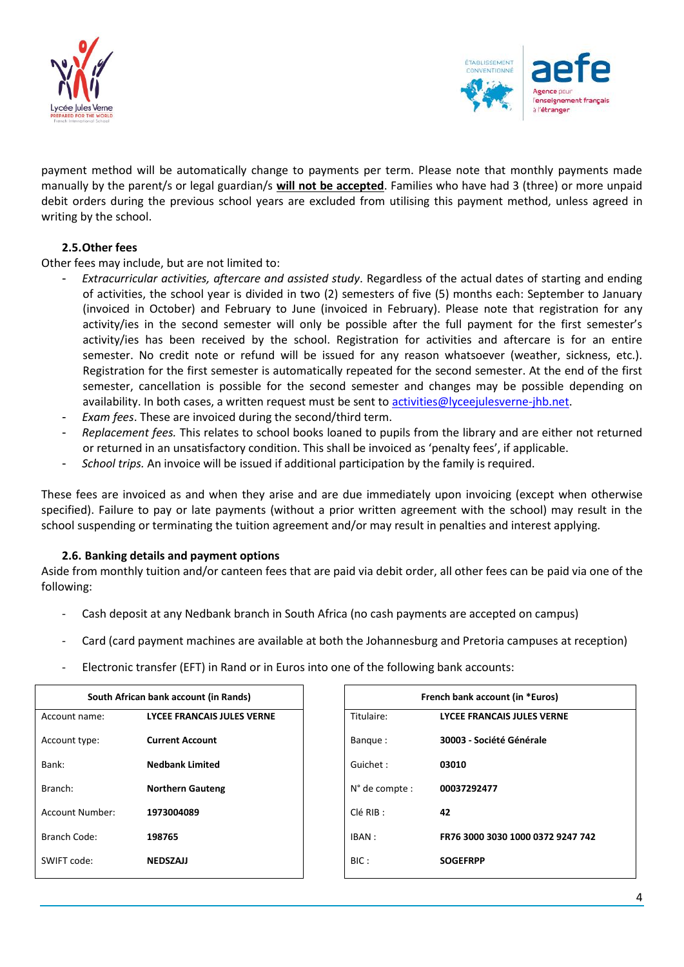



payment method will be automatically change to payments per term. Please note that monthly payments made manually by the parent/s or legal guardian/s **will not be accepted**. Families who have had 3 (three) or more unpaid debit orders during the previous school years are excluded from utilising this payment method, unless agreed in writing by the school.

# **2.5.Other fees**

#### Other fees may include, but are not limited to:

- *Extracurricular activities, aftercare and assisted study*. Regardless of the actual dates of starting and ending of activities, the school year is divided in two (2) semesters of five (5) months each: September to January (invoiced in October) and February to June (invoiced in February). Please note that registration for any activity/ies in the second semester will only be possible after the full payment for the first semester's activity/ies has been received by the school. Registration for activities and aftercare is for an entire semester. No credit note or refund will be issued for any reason whatsoever (weather, sickness, etc.). Registration for the first semester is automatically repeated for the second semester. At the end of the first semester, cancellation is possible for the second semester and changes may be possible depending on availability. In both cases, a written request must be sent to [activities@lyceejulesverne-jhb.net.](mailto:activities@lyceejulesverne-jhb.net)
- *Exam fees*. These are invoiced during the second/third term.
- *Replacement fees.* This relates to school books loaned to pupils from the library and are either not returned or returned in an unsatisfactory condition. This shall be invoiced as 'penalty fees', if applicable.
- *School trips.* An invoice will be issued if additional participation by the family is required.

These fees are invoiced as and when they arise and are due immediately upon invoicing (except when otherwise specified). Failure to pay or late payments (without a prior written agreement with the school) may result in the school suspending or terminating the tuition agreement and/or may result in penalties and interest applying.

#### **2.6. Banking details and payment options**

Aside from monthly tuition and/or canteen fees that are paid via debit order, all other fees can be paid via one of the following:

- Cash deposit at any Nedbank branch in South Africa (no cash payments are accepted on campus)
- Card (card payment machines are available at both the Johannesburg and Pretoria campuses at reception)
- Electronic transfer (EFT) in Rand or in Euros into one of the following bank accounts:

|                 | South African bank account (in Rands) |                | French bank account (in *Euros)   |
|-----------------|---------------------------------------|----------------|-----------------------------------|
| Account name:   | <b>LYCEE FRANCAIS JULES VERNE</b>     | Titulaire:     | LYCEE FRANCAIS JULES VERNE        |
| Account type:   | <b>Current Account</b>                | Bangue:        | 30003 - Société Générale          |
| Bank:           | <b>Nedbank Limited</b>                | Guichet:       | 03010                             |
| Branch:         | <b>Northern Gauteng</b>               | N° de compte : | 00037292477                       |
| Account Number: | 1973004089                            | CIé RIB :      | 42                                |
| Branch Code:    | 198765                                | IBAN :         | FR76 3000 3030 1000 0372 9247 742 |
| SWIFT code:     | <b>NEDSZAJJ</b>                       | BIC:           | <b>SOGEFRPP</b>                   |
|                 |                                       |                |                                   |

| South African bank account (in Rands) |                                   | French bank account (in *Euros) |                         |                                   |
|---------------------------------------|-----------------------------------|---------------------------------|-------------------------|-----------------------------------|
| me:                                   | <b>LYCEE FRANCAIS JULES VERNE</b> |                                 | Titulaire:              | <b>LYCEE FRANCAIS JULES VERNE</b> |
| pe:                                   | <b>Current Account</b>            |                                 | Bangue:                 | 30003 - Société Générale          |
|                                       | <b>Nedbank Limited</b>            |                                 | Guichet:                | 03010                             |
|                                       | <b>Northern Gauteng</b>           |                                 | $N^{\circ}$ de compte : | 00037292477                       |
| .mber:                                | 1973004089                        |                                 | CIé RIB :               | 42                                |
| le:                                   | 198765                            |                                 | IBAN :                  | FR76 3000 3030 1000 0372 9247 742 |
| É.                                    | <b>NEDSZAJJ</b>                   |                                 | BIC:                    | <b>SOGEFRPP</b>                   |
|                                       |                                   |                                 |                         |                                   |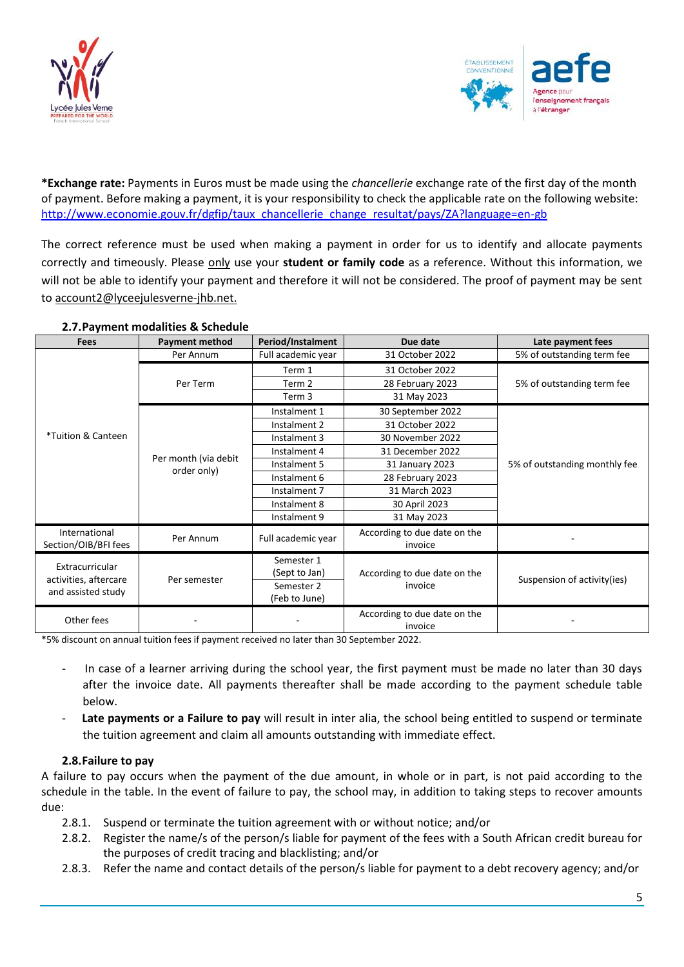



**\*Exchange rate:** Payments in Euros must be made using the *chancellerie* exchange rate of the first day of the month of payment. Before making a payment, it is your responsibility to check the applicable rate on the following website: [http://www.economie.gouv.fr/dgfip/taux\\_chancellerie\\_change\\_resultat/pays/ZA?language=en-gb](http://www.economie.gouv.fr/dgfip/taux_chancellerie_change_resultat/pays/ZA?language=en-gb)

The correct reference must be used when making a payment in order for us to identify and allocate payments correctly and timeously. Please only use your **student or family code** as a reference. Without this information, we will not be able to identify your payment and therefore it will not be considered. The proof of payment may be sent to account2@lyceejulesverne-jhb.net.

| <b>Fees</b>                                                    | <b>Payment method</b>               | Period/Instalment  | Due date                                | Late payment fees             |  |
|----------------------------------------------------------------|-------------------------------------|--------------------|-----------------------------------------|-------------------------------|--|
|                                                                | Per Annum                           | Full academic year | 31 October 2022                         | 5% of outstanding term fee    |  |
|                                                                | Per Term                            | Term 1             | 31 October 2022                         | 5% of outstanding term fee    |  |
|                                                                |                                     | Term 2             | 28 February 2023                        |                               |  |
|                                                                |                                     | Term 3             | 31 May 2023                             |                               |  |
|                                                                | Per month (via debit<br>order only) | Instalment 1       | 30 September 2022                       | 5% of outstanding monthly fee |  |
|                                                                |                                     | Instalment 2       | 31 October 2022                         |                               |  |
| *Tuition & Canteen                                             |                                     | Instalment 3       | 30 November 2022                        |                               |  |
|                                                                |                                     | Instalment 4       | 31 December 2022                        |                               |  |
|                                                                |                                     | Instalment 5       | 31 January 2023                         |                               |  |
|                                                                |                                     | Instalment 6       | 28 February 2023                        |                               |  |
|                                                                |                                     | Instalment 7       | 31 March 2023                           |                               |  |
|                                                                |                                     | Instalment 8       | 30 April 2023                           |                               |  |
|                                                                |                                     | Instalment 9       | 31 May 2023                             |                               |  |
| International<br>Section/OIB/BFI fees                          | Per Annum                           | Full academic year | According to due date on the<br>invoice |                               |  |
| Extracurricular<br>activities, aftercare<br>and assisted study | Per semester                        | Semester 1         |                                         |                               |  |
|                                                                |                                     | (Sept to Jan)      | According to due date on the            | Suspension of activity(ies)   |  |
|                                                                |                                     | Semester 2         | invoice                                 |                               |  |
|                                                                |                                     | (Feb to June)      |                                         |                               |  |
| Other fees                                                     |                                     |                    | According to due date on the<br>invoice |                               |  |

#### **2.7.Payment modalities & Schedule**

\*5% discount on annual tuition fees if payment received no later than 30 September 2022.

- In case of a learner arriving during the school year, the first payment must be made no later than 30 days after the invoice date. All payments thereafter shall be made according to the payment schedule table below.
- Late payments or a Failure to pay will result in inter alia, the school being entitled to suspend or terminate the tuition agreement and claim all amounts outstanding with immediate effect.

# **2.8.Failure to pay**

A failure to pay occurs when the payment of the due amount, in whole or in part, is not paid according to the schedule in the table. In the event of failure to pay, the school may, in addition to taking steps to recover amounts due:

- 2.8.1. Suspend or terminate the tuition agreement with or without notice; and/or
- 2.8.2. Register the name/s of the person/s liable for payment of the fees with a South African credit bureau for the purposes of credit tracing and blacklisting; and/or
- 2.8.3. Refer the name and contact details of the person/s liable for payment to a debt recovery agency; and/or